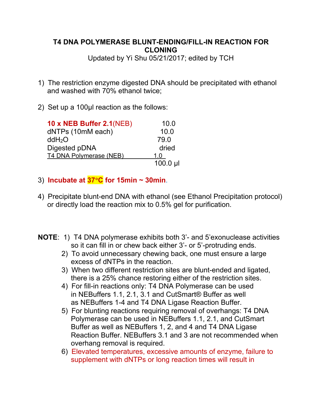## **T4 DNA POLYMERASE BLUNT-ENDING/FILL-IN REACTION FOR CLONING**

Updated by Yi Shu 05/21/2017; edited by TCH

- 1) The restriction enzyme digested DNA should be precipitated with ethanol and washed with 70% ethanol twice;
- 2) Set up a 100µl reaction as the follows:

| <b>10 x NEB Buffer 2.1 (NEB)</b> | 10.0       |
|----------------------------------|------------|
| dNTPs (10mM each)                | 10.0       |
| ddH <sub>2</sub> O               | 79.0       |
| Digested pDNA                    | dried      |
| T4 DNA Polymerase (NEB)          | 1.0        |
|                                  | $100.0$ µl |

## 3) **Incubate at**  $37^{\circ}C$  **for 15min ~ 30min**.

- 4) Precipitate blunt-end DNA with ethanol (see Ethanol Precipitation protocol) or directly load the reaction mix to 0.5% gel for purification.
- **NOTE**: 1) T4 DNA polymerase exhibits both 3'- and 5'exonuclease activities so it can fill in or chew back either 3'- or 5'-protruding ends.
	- 2) To avoid unnecessary chewing back, one must ensure a large excess of dNTPs in the reaction.
	- 3) When two different restriction sites are blunt-ended and ligated, there is a 25% chance restoring either of the restriction sites.
	- 4) For fill-in reactions only: T4 DNA Polymerase can be used in NEBuffers 1.1, 2.1, 3.1 and CutSmart® Buffer as well as NEBuffers 1-4 and T4 DNA Ligase Reaction Buffer.
	- 5) For blunting reactions requiring removal of overhangs: T4 DNA Polymerase can be used in NEBuffers 1.1, 2.1, and CutSmart Buffer as well as NEBuffers 1, 2, and 4 and T4 DNA Ligase Reaction Buffer. NEBuffers 3.1 and 3 are not recommended when overhang removal is required.
	- 6) Elevated temperatures, excessive amounts of enzyme, failure to supplement with dNTPs or long reaction times will result in